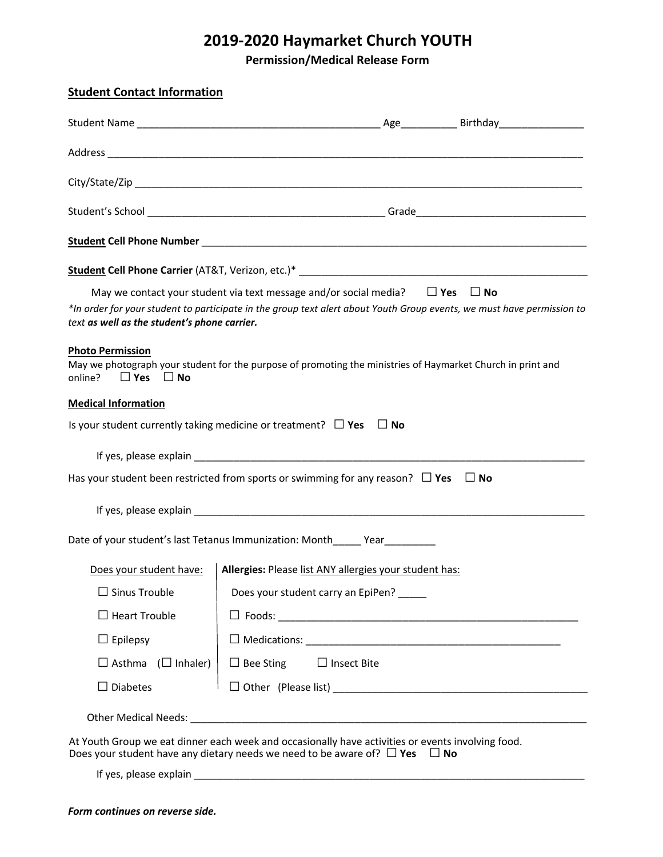## **2019-2020 Haymarket Church YOUTH**

**Permission/Medical Release Form**

| <b>Student Contact Information</b>                                                                                                                                                                                            |                                    |                    |  |           |  |
|-------------------------------------------------------------------------------------------------------------------------------------------------------------------------------------------------------------------------------|------------------------------------|--------------------|--|-----------|--|
|                                                                                                                                                                                                                               |                                    |                    |  |           |  |
|                                                                                                                                                                                                                               |                                    |                    |  |           |  |
|                                                                                                                                                                                                                               |                                    |                    |  |           |  |
|                                                                                                                                                                                                                               |                                    |                    |  |           |  |
|                                                                                                                                                                                                                               |                                    |                    |  |           |  |
|                                                                                                                                                                                                                               |                                    |                    |  |           |  |
| May we contact your student via text message and/or social media? $\square$ Yes $\square$ No                                                                                                                                  |                                    |                    |  |           |  |
| *In order for your student to participate in the group text alert about Youth Group events, we must have permission to<br>text as well as the student's phone carrier.                                                        |                                    |                    |  |           |  |
| <b>Photo Permission</b><br>May we photograph your student for the purpose of promoting the ministries of Haymarket Church in print and<br>$\Box$ Yes $\Box$ No<br>online?                                                     |                                    |                    |  |           |  |
| <b>Medical Information</b>                                                                                                                                                                                                    |                                    |                    |  |           |  |
| Is your student currently taking medicine or treatment? $\Box$ Yes $\Box$ No                                                                                                                                                  |                                    |                    |  |           |  |
|                                                                                                                                                                                                                               |                                    |                    |  |           |  |
| Has your student been restricted from sports or swimming for any reason? $\Box$ Yes                                                                                                                                           |                                    |                    |  | $\Box$ No |  |
| If yes, please explain expression and the set of the set of the set of the set of the set of the set of the set of the set of the set of the set of the set of the set of the set of the set of the set of the set of the set |                                    |                    |  |           |  |
| Date of your student's last Tetanus Immunization: Month_____ Year________                                                                                                                                                     |                                    |                    |  |           |  |
| Does your student have:   Allergies: Please list ANY allergies your student has:                                                                                                                                              |                                    |                    |  |           |  |
| $\Box$ Sinus Trouble                                                                                                                                                                                                          | Does your student carry an EpiPen? |                    |  |           |  |
| $\Box$ Heart Trouble                                                                                                                                                                                                          |                                    |                    |  |           |  |
| $\Box$ Epilepsy                                                                                                                                                                                                               |                                    |                    |  |           |  |
| $\Box$ Asthma ( $\Box$ Inhaler)                                                                                                                                                                                               | $\Box$ Bee Sting                   | $\Box$ Insect Bite |  |           |  |
| $\Box$ Diabetes                                                                                                                                                                                                               |                                    |                    |  |           |  |
|                                                                                                                                                                                                                               |                                    |                    |  |           |  |
| At Youth Group we eat dinner each week and occasionally have activities or events involving food.<br>Does your student have any dietary needs we need to be aware of? $\Box$ Yes $\Box$ No                                    |                                    |                    |  |           |  |
|                                                                                                                                                                                                                               |                                    |                    |  |           |  |